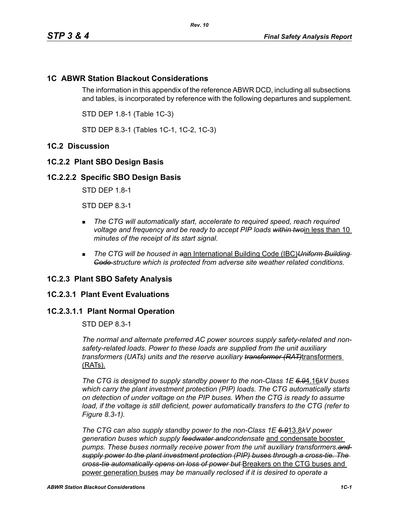# **1C ABWR Station Blackout Considerations**

The information in this appendix of the reference ABWR DCD, including all subsections and tables, is incorporated by reference with the following departures and supplement.

STD DEP 1.8-1 (Table 1C-3)

STD DEP 8.3-1 (Tables 1C-1, 1C-2, 1C-3)

# **1C.2 Discussion**

# **1C.2.2 Plant SBO Design Basis**

## **1C.2.2.2 Specific SBO Design Basis**

STD DEP 1.8-1

STD DEP 8.3-1

- **The CTG will automatically start, accelerate to required speed, reach required** *voltage and frequency and be ready to accept PIP loads within two*in less than 10 *minutes of the receipt of its start signal.*
- *The CTG will be housed in a*an International Building Code (IBC)*Uniform Building Code structure which is protected from adverse site weather related conditions.*

#### **1C.2.3 Plant SBO Safety Analysis**

#### **1C.2.3.1 Plant Event Evaluations**

## **1C.2.3.1.1 Plant Normal Operation**

STD DEP 8.3-1

*The normal and alternate preferred AC power sources supply safety-related and nonsafety-related loads. Power to these loads are supplied from the unit auxiliary transformers (UATs) units and the reserve auxiliary transformer (RAT)*transformers (RATs).

*The CTG is designed to supply standby power to the non-Class 1E 6.9*4.16*kV buses which carry the plant investment protection (PIP) loads. The CTG automatically starts on detection of under voltage on the PIP buses. When the CTG is ready to assume*  load, if the voltage is still deficient, power automatically transfers to the CTG (refer to *Figure 8.3-1).*

*The CTG can also supply standby power to the non-Class 1E 6.9*13.8*kV power generation buses which supply feedwater andcondensate* and condensate booster *pumps. These buses normally receive power from the unit auxiliary transformers.and supply power to the plant investment protection (PIP) buses through a cross-tie. The cross-tie automatically opens on loss of power but* Breakers on the CTG buses and power generation buses *may be manually reclosed if it is desired to operate a*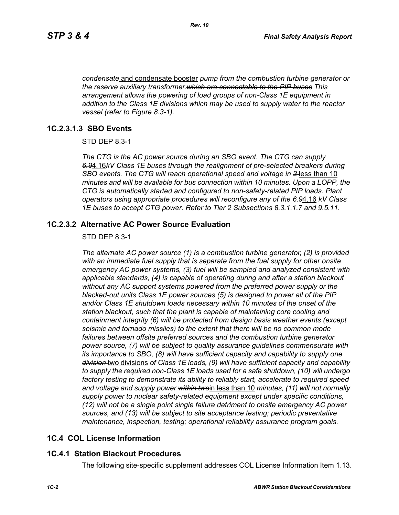*condensate* and condensate booster *pump from the combustion turbine generator or the reserve auxiliary transformer.which are connectable to the PIP buses This arrangement allows the powering of load groups of non-Class 1E equipment in addition to the Class 1E divisions which may be used to supply water to the reactor vessel (refer to Figure 8.3-1).*

## **1C.2.3.1.3 SBO Events**

STD DEP 8.3-1

*The CTG is the AC power source during an SBO event. The CTG can supply 6.9*4.16*kV Class 1E buses through the realignment of pre-selected breakers during SBO events. The CTG will reach operational speed and voltage in 2* less than 10 *minutes and will be available for bus connection within 10 minutes. Upon a LOPP, the CTG is automatically started and configured to non-safety-related PIP loads. Plant operators using appropriate procedures will reconfigure any of the 6.9*4.16 *kV Class 1E buses to accept CTG power. Refer to Tier 2 Subsections 8.3.1.1.7 and 9.5.11.*

## **1C.2.3.2 Alternative AC Power Source Evaluation**

#### STD DEP 8.3-1

*The alternate AC power source (1) is a combustion turbine generator, (2) is provided with an immediate fuel supply that is separate from the fuel supply for other onsite emergency AC power systems, (3) fuel will be sampled and analyzed consistent with applicable standards, (4) is capable of operating during and after a station blackout without any AC support systems powered from the preferred power supply or the blacked-out units Class 1E power sources (5) is designed to power all of the PIP and/or Class 1E shutdown loads necessary within 10 minutes of the onset of the station blackout, such that the plant is capable of maintaining core cooling and containment integrity (6) will be protected from design basis weather events (except seismic and tornado missiles) to the extent that there will be no common mode*  failures between offsite preferred sources and the combustion turbine generator *power source, (7) will be subject to quality assurance guidelines commensurate with its importance to SBO, (8) will have sufficient capacity and capability to supply one division* two divisions *of Class 1E loads, (9) will have sufficient capacity and capability to supply the required non-Class 1E loads used for a safe shutdown, (10) will undergo factory testing to demonstrate its ability to reliably start, accelerate to required speed and voltage and supply power within two*in less than 10 *minutes, (11) will not normally supply power to nuclear safety-related equipment except under specific conditions, (12) will not be a single point single failure detriment to onsite emergency AC power sources, and (13) will be subject to site acceptance testing; periodic preventative maintenance, inspection, testing; operational reliability assurance program goals.*

# **1C.4 COL License Information**

#### **1C.4.1 Station Blackout Procedures**

The following site-specific supplement addresses COL License Information Item 1.13.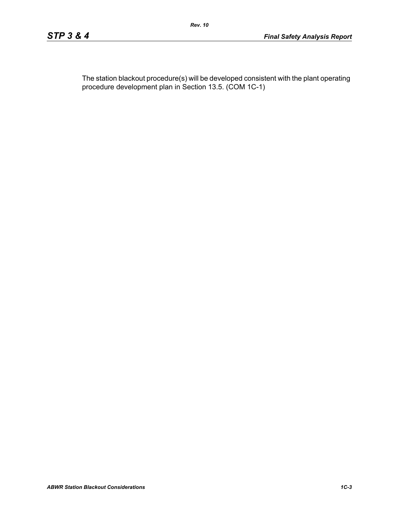The station blackout procedure(s) will be developed consistent with the plant operating procedure development plan in Section 13.5. (COM 1C-1)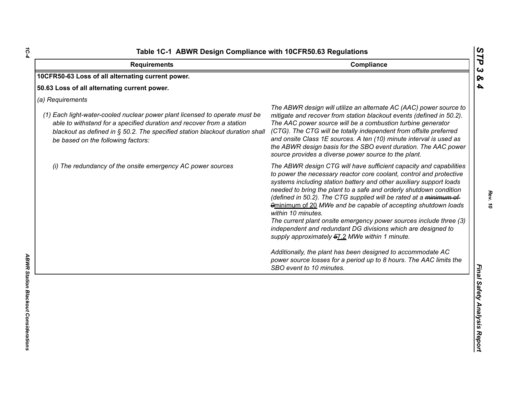| Compliance<br><b>Requirements</b>                                                                                                                                                                                                                                                              |                                                                                                                                                                                                                                                                                                                                                                                                                                                                                                                                                                                                                                                                                                                                                                                                             |
|------------------------------------------------------------------------------------------------------------------------------------------------------------------------------------------------------------------------------------------------------------------------------------------------|-------------------------------------------------------------------------------------------------------------------------------------------------------------------------------------------------------------------------------------------------------------------------------------------------------------------------------------------------------------------------------------------------------------------------------------------------------------------------------------------------------------------------------------------------------------------------------------------------------------------------------------------------------------------------------------------------------------------------------------------------------------------------------------------------------------|
| 10CFR50-63 Loss of all alternating current power.                                                                                                                                                                                                                                              |                                                                                                                                                                                                                                                                                                                                                                                                                                                                                                                                                                                                                                                                                                                                                                                                             |
| 50.63 Loss of all alternating current power.                                                                                                                                                                                                                                                   |                                                                                                                                                                                                                                                                                                                                                                                                                                                                                                                                                                                                                                                                                                                                                                                                             |
| (a) Requirements<br>(1) Each light-water-cooled nuclear power plant licensed to operate must be<br>able to withstand for a specified duration and recover from a station<br>blackout as defined in § 50.2. The specified station blackout duration shall<br>be based on the following factors: | The ABWR design will utilize an alternate AC (AAC) power source to<br>mitigate and recover from station blackout events (defined in 50.2).<br>The AAC power source will be a combustion turbine generator<br>(CTG). The CTG will be totally independent from offsite preferred<br>and onsite Class 1E sources. A ten (10) minute interval is used as<br>the ABWR design basis for the SBO event duration. The AAC power<br>source provides a diverse power source to the plant.                                                                                                                                                                                                                                                                                                                             |
| (i) The redundancy of the onsite emergency AC power sources                                                                                                                                                                                                                                    | The ABWR design CTG will have sufficient capacity and capabilities<br>to power the necessary reactor core coolant, control and protective<br>systems including station battery and other auxiliary support loads<br>needed to bring the plant to a safe and orderly shutdown condition<br>(defined in 50.2). The CTG supplied will be rated at a minimum of<br>9minimum of 20 MWe and be capable of accepting shutdown loads<br>within 10 minutes.<br>The current plant onsite emergency power sources include three (3)<br>independent and redundant DG divisions which are designed to<br>supply approximately 57.2 MWe within 1 minute.<br>Additionally, the plant has been designed to accommodate AC<br>power source losses for a period up to 8 hours. The AAC limits the<br>SBO event to 10 minutes. |

*1C-4*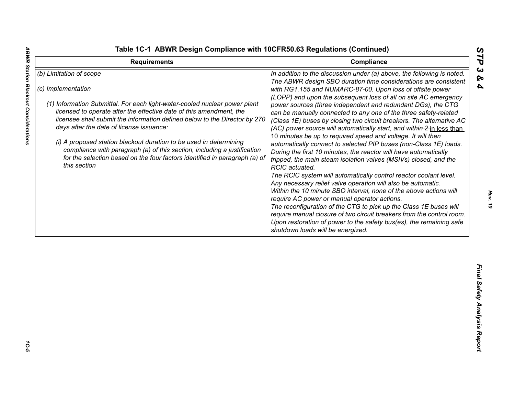**ABWR Station Blackout Considerations** 

|  |  |  |  |  | able 1C-1 ABWR Design Compliance with 10CFR50.63 Regulations (Continued) |
|--|--|--|--|--|--------------------------------------------------------------------------|
|--|--|--|--|--|--------------------------------------------------------------------------|

| <b>Requirements</b>                                                                                                                                                                                                                                                                                                                                                                                                                                                                                                                                                          | Compliance                                                                                                                                                                                                                                                                                                                                                                                                                                                                                                                                                                                                                                                                                                                                                                                                                                                                                                                                                                                                                                                                                                                                                                                                                                                                                                                                                                        | ĽP                                |
|------------------------------------------------------------------------------------------------------------------------------------------------------------------------------------------------------------------------------------------------------------------------------------------------------------------------------------------------------------------------------------------------------------------------------------------------------------------------------------------------------------------------------------------------------------------------------|-----------------------------------------------------------------------------------------------------------------------------------------------------------------------------------------------------------------------------------------------------------------------------------------------------------------------------------------------------------------------------------------------------------------------------------------------------------------------------------------------------------------------------------------------------------------------------------------------------------------------------------------------------------------------------------------------------------------------------------------------------------------------------------------------------------------------------------------------------------------------------------------------------------------------------------------------------------------------------------------------------------------------------------------------------------------------------------------------------------------------------------------------------------------------------------------------------------------------------------------------------------------------------------------------------------------------------------------------------------------------------------|-----------------------------------|
| (b) Limitation of scope<br>(c) Implementation<br>(1) Information Submittal. For each light-water-cooled nuclear power plant<br>licensed to operate after the effective date of this amendment, the<br>licensee shall submit the information defined below to the Director by 270<br>days after the date of license issuance:<br>(i) A proposed station blackout duration to be used in determining<br>compliance with paragraph (a) of this section, including a justification<br>for the selection based on the four factors identified in paragraph (a) of<br>this section | In addition to the discussion under (a) above, the following is noted.<br>The ABWR design SBO duration time considerations are consistent<br>with RG1.155 and NUMARC-87-00. Upon loss of offsite power<br>(LOPP) and upon the subsequent loss of all on site AC emergency<br>power sources (three independent and redundant DGs), the CTG<br>can be manually connected to any one of the three safety-related<br>(Class 1E) buses by closing two circuit breakers. The alternative AC<br>(AC) power source will automatically start, and within 2 in less than<br>10 minutes be up to required speed and voltage. It will then<br>automatically connect to selected PIP buses (non-Class 1E) loads.<br>During the first 10 minutes, the reactor will have automatically<br>tripped, the main steam isolation valves (MSIVs) closed, and the<br>RCIC actuated.<br>The RCIC system will automatically control reactor coolant level.<br>Any necessary relief valve operation will also be automatic.<br>Within the 10 minute SBO interval, none of the above actions will<br>require AC power or manual operator actions.<br>The reconfiguration of the CTG to pick up the Class 1E buses will<br>require manual closure of two circuit breakers from the control room.<br>Upon restoration of power to the safety bus(es), the remaining safe<br>shutdown loads will be energized. | $\boldsymbol{\omega}$<br>ଚ୍ଚ<br>4 |
|                                                                                                                                                                                                                                                                                                                                                                                                                                                                                                                                                                              |                                                                                                                                                                                                                                                                                                                                                                                                                                                                                                                                                                                                                                                                                                                                                                                                                                                                                                                                                                                                                                                                                                                                                                                                                                                                                                                                                                                   | Final Safety Analysis Report      |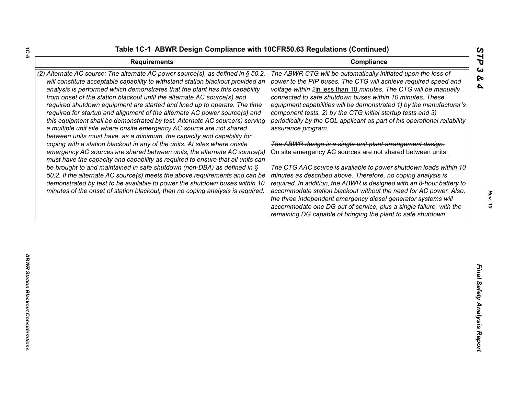| <b>Requirements</b>                                                                                                                                                                                                                                                                                                                                                                                                                                                                                                                                                                                                                              | STP<br>Compliance                                                                                                                                                                                                                                                                                                                                                                                                                                                                                                                                |
|--------------------------------------------------------------------------------------------------------------------------------------------------------------------------------------------------------------------------------------------------------------------------------------------------------------------------------------------------------------------------------------------------------------------------------------------------------------------------------------------------------------------------------------------------------------------------------------------------------------------------------------------------|--------------------------------------------------------------------------------------------------------------------------------------------------------------------------------------------------------------------------------------------------------------------------------------------------------------------------------------------------------------------------------------------------------------------------------------------------------------------------------------------------------------------------------------------------|
| (2) Alternate AC source: The alternate AC power source(s), as defined in § 50.2,<br>will constitute acceptable capability to withstand station blackout provided an<br>analysis is performed which demonstrates that the plant has this capability<br>from onset of the station blackout until the alternate AC source(s) and<br>required shutdown equipment are started and lined up to operate. The time<br>required for startup and alignment of the alternate AC power source(s) and<br>this equipment shall be demonstrated by test. Alternate AC source(s) serving<br>a multiple unit site where onsite emergency AC source are not shared | $\boldsymbol{\omega}$<br>The ABWR CTG will be automatically initiated upon the loss of<br>ଚ୍ଚ<br>power to the PIP buses. The CTG will achieve required speed and<br>4<br>voltage within 2in less than 10 minutes. The CTG will be manually<br>connected to safe shutdown buses within 10 minutes. These<br>equipment capabilities will be demonstrated 1) by the manufacturer's<br>component tests, 2) by the CTG initial startup tests and 3)<br>periodically by the COL applicant as part of his operational reliability<br>assurance program. |
| between units must have, as a minimum, the capacity and capability for<br>coping with a station blackout in any of the units. At sites where onsite<br>emergency AC sources are shared between units, the alternate AC source(s)                                                                                                                                                                                                                                                                                                                                                                                                                 | The ABWR design is a single unit plant arrangement design.<br>On site emergency AC sources are not shared between units.                                                                                                                                                                                                                                                                                                                                                                                                                         |
| must have the capacity and capability as required to ensure that all units can<br>be brought to and maintained in safe shutdown (non-DBA) as defined in $\S$<br>50.2. If the alternate AC source(s) meets the above requirements and can be<br>demonstrated by test to be available to power the shutdown buses within 10<br>minutes of the onset of station blackout, then no coping analysis is required.                                                                                                                                                                                                                                      | The CTG AAC source is available to power shutdown loads within 10<br>minutes as described above. Therefore, no coping analysis is<br>required. In addition, the ABWR is designed with an 8-hour battery to<br>accommodate station blackout without the need for AC power. Also,<br>the three independent emergency diesel generator systems will<br>accommodate one DG out of service, plus a single failure, with the<br>remaining DG capable of bringing the plant to safe shutdown.                                                           |
|                                                                                                                                                                                                                                                                                                                                                                                                                                                                                                                                                                                                                                                  |                                                                                                                                                                                                                                                                                                                                                                                                                                                                                                                                                  |
|                                                                                                                                                                                                                                                                                                                                                                                                                                                                                                                                                                                                                                                  | Final Safety Analysis Report                                                                                                                                                                                                                                                                                                                                                                                                                                                                                                                     |
|                                                                                                                                                                                                                                                                                                                                                                                                                                                                                                                                                                                                                                                  |                                                                                                                                                                                                                                                                                                                                                                                                                                                                                                                                                  |

*1C-6*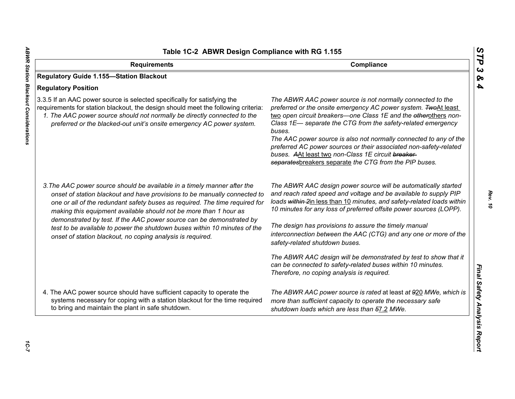| Table 1C-2 ABWR Design Compliance with RG 1.155                                                                                                                                                                                                                                                                                                                                   |                                                                                                                                                                                                                                                                                                                                                                                                                                                                                                                                     |
|-----------------------------------------------------------------------------------------------------------------------------------------------------------------------------------------------------------------------------------------------------------------------------------------------------------------------------------------------------------------------------------|-------------------------------------------------------------------------------------------------------------------------------------------------------------------------------------------------------------------------------------------------------------------------------------------------------------------------------------------------------------------------------------------------------------------------------------------------------------------------------------------------------------------------------------|
| Compliance<br><b>Requirements</b>                                                                                                                                                                                                                                                                                                                                                 |                                                                                                                                                                                                                                                                                                                                                                                                                                                                                                                                     |
| <b>Regulatory Guide 1.155-Station Blackout</b>                                                                                                                                                                                                                                                                                                                                    |                                                                                                                                                                                                                                                                                                                                                                                                                                                                                                                                     |
| <b>Regulatory Position</b>                                                                                                                                                                                                                                                                                                                                                        |                                                                                                                                                                                                                                                                                                                                                                                                                                                                                                                                     |
| 3.3.5 If an AAC power source is selected specifically for satisfying the<br>requirements for station blackout, the design should meet the following criteria:<br>1. The AAC power source should not normally be directly connected to the<br>preferred or the blacked-out unit's onsite emergency AC power system.                                                                | The ABWR AAC power source is not normally connected to the<br>preferred or the onsite emergency AC power system. TwoAt least<br>two open circuit breakers-one Class 1E and the etherothers non-<br>Class 1E- separate the CTG from the safety-related emergency<br>buses.<br>The AAC power source is also not normally connected to any of the<br>preferred AC power sources or their associated non-safety-related<br>buses. AAt least two non-Class 1E circuit breaker-<br>separatesbreakers separate the CTG from the PIP buses. |
| 3. The AAC power source should be available in a timely manner after the<br>onset of station blackout and have provisions to be manually connected to<br>one or all of the redundant safety buses as required. The time required for<br>making this equipment available should not be more than 1 hour as<br>demonstrated by test. If the AAC power source can be demonstrated by | The ABWR AAC design power source will be automatically started<br>and reach rated speed and voltage and be available to supply PIP<br>loads within 2in less than 10 minutes, and safety-related loads within<br>10 minutes for any loss of preferred offsite power sources (LOPP).<br>The design has provisions to assure the timely manual                                                                                                                                                                                         |
| test to be available to power the shutdown buses within 10 minutes of the<br>onset of station blackout, no coping analysis is required.                                                                                                                                                                                                                                           | interconnection between the AAC (CTG) and any one or more of the<br>safety-related shutdown buses.                                                                                                                                                                                                                                                                                                                                                                                                                                  |
|                                                                                                                                                                                                                                                                                                                                                                                   | The ABWR AAC design will be demonstrated by test to show that it<br>can be connected to safety-related buses within 10 minutes.<br>Therefore, no coping analysis is required.                                                                                                                                                                                                                                                                                                                                                       |
| 4. The AAC power source should have sufficient capacity to operate the<br>systems necessary for coping with a station blackout for the time required<br>to bring and maintain the plant in safe shutdown.                                                                                                                                                                         | The ABWR AAC power source is rated at least at 920 MWe, which is<br>more than sufficient capacity to operate the necessary safe<br>shutdown loads which are less than 57.2 MWe.                                                                                                                                                                                                                                                                                                                                                     |

*STP 3 & 4*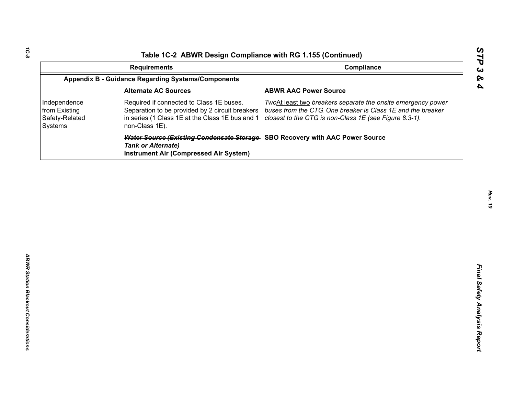| <b>Requirements</b><br><b>Appendix B - Guidance Regarding Systems/Components</b><br><b>Alternate AC Sources</b><br><b>ABWR AAC Power Source</b><br>Independence<br>Required if connected to Class 1E buses.<br>from Existing<br>Separation to be provided by 2 circuit breakers<br>in series (1 Class 1E at the Class 1E bus and 1<br>Safety-Related | Compliance<br>TwoAt least two breakers separate the onsite emergency power<br>buses from the CTG. One breaker is Class 1E and the breaker |
|------------------------------------------------------------------------------------------------------------------------------------------------------------------------------------------------------------------------------------------------------------------------------------------------------------------------------------------------------|-------------------------------------------------------------------------------------------------------------------------------------------|
|                                                                                                                                                                                                                                                                                                                                                      |                                                                                                                                           |
|                                                                                                                                                                                                                                                                                                                                                      |                                                                                                                                           |
|                                                                                                                                                                                                                                                                                                                                                      |                                                                                                                                           |
| non-Class 1E).<br>Systems                                                                                                                                                                                                                                                                                                                            | closest to the CTG is non-Class 1E (see Figure 8.3-1).                                                                                    |
| Water Source (Existing Condensate Storage SBO Recovery with AAC Power Source<br><b>Tank or Alternate)</b><br><b>Instrument Air (Compressed Air System)</b>                                                                                                                                                                                           |                                                                                                                                           |

*STP 3 & 4*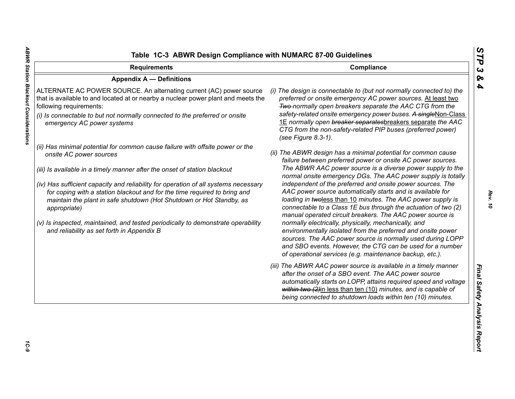| <b>Requirements</b>                                                                                                                                                                                                                                                                                                                                                                                                                                                                                                                                                                 | Compliance                                                                                                                                                                                                                                                                                                                                                                                                                                                                                                                                                                                                                                                                                                                                                                                                                                                                                          |  |
|-------------------------------------------------------------------------------------------------------------------------------------------------------------------------------------------------------------------------------------------------------------------------------------------------------------------------------------------------------------------------------------------------------------------------------------------------------------------------------------------------------------------------------------------------------------------------------------|-----------------------------------------------------------------------------------------------------------------------------------------------------------------------------------------------------------------------------------------------------------------------------------------------------------------------------------------------------------------------------------------------------------------------------------------------------------------------------------------------------------------------------------------------------------------------------------------------------------------------------------------------------------------------------------------------------------------------------------------------------------------------------------------------------------------------------------------------------------------------------------------------------|--|
| <b>Appendix A - Definitions</b>                                                                                                                                                                                                                                                                                                                                                                                                                                                                                                                                                     |                                                                                                                                                                                                                                                                                                                                                                                                                                                                                                                                                                                                                                                                                                                                                                                                                                                                                                     |  |
| ALTERNATE AC POWER SOURCE. An alternating current (AC) power source<br>that is available to and located at or nearby a nuclear power plant and meets the<br>following requirements:<br>(i) Is connectable to but not normally connected to the preferred or onsite<br>emergency AC power systems                                                                                                                                                                                                                                                                                    | (i) The design is connectable to (but not normally connected to) the<br>preferred or onsite emergency AC power sources. At least two<br>Two-normally open breakers separate the AAC CTG from the<br>safety-related onsite emergency power buses. A singleNon-Class<br>1E normally open breaker separatesbreakers separate the AAC<br>CTG from the non-safety-related PIP buses (preferred power)<br>(see Figure 8.3-1).                                                                                                                                                                                                                                                                                                                                                                                                                                                                             |  |
| (ii) Has minimal potential for common cause failure with offsite power or the<br>onsite AC power sources<br>(iii) Is available in a timely manner after the onset of station blackout<br>(iv) Has sufficient capacity and reliability for operation of all systems necessary<br>for coping with a station blackout and for the time required to bring and<br>maintain the plant in safe shutdown (Hot Shutdown or Hot Standby, as<br>appropriate)<br>(v) Is inspected, maintained, and tested periodically to demonstrate operability<br>and reliability as set forth in Appendix B | (ii) The ABWR design has a minimal potential for common cause<br>failure between preferred power or onsite AC power sources.<br>The ABWR AAC power source is a diverse power supply to the<br>normal onsite emergency DGs. The AAC power supply is totally<br>independent of the preferred and onsite power sources. The<br>AAC power source automatically starts and is available for<br>loading in twoless than 10 minutes. The AAC power supply is<br>connectable to a Class 1E bus through the actuation of two (2)<br>manual operated circuit breakers. The AAC power source is<br>normally electrically, physically, mechanically, and<br>environmentally isolated from the preferred and onsite power<br>sources. The AAC power source is normally used during LOPP<br>and SBO events. However, the CTG can be used for a number<br>of operational services (e.g. maintenance backup, etc.). |  |
|                                                                                                                                                                                                                                                                                                                                                                                                                                                                                                                                                                                     | (iii) The ABWR AAC power source is available in a timely manner<br>after the onset of a SBO event. The AAC power source<br>automatically starts on LOPP, attains required speed and voltage<br>within two (2)in less than ten (10) minutes, and is capable of<br>being connected to shutdown loads within ten (10) minutes.                                                                                                                                                                                                                                                                                                                                                                                                                                                                                                                                                                         |  |

*STP 3 & 4*